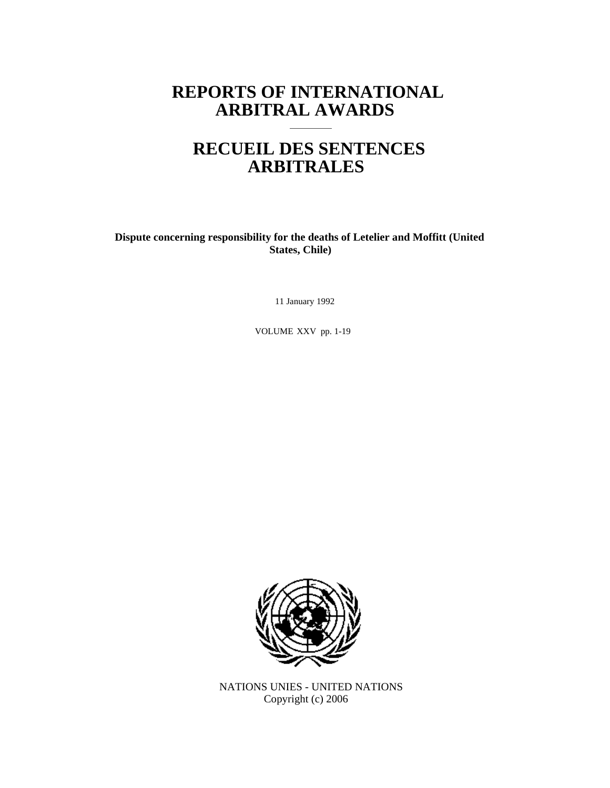# **REPORTS OF INTERNATIONAL ARBITRAL AWARDS**

# **RECUEIL DES SENTENCES ARBITRALES**

**Dispute concerning responsibility for the deaths of Letelier and Moffitt (United States, Chile)**

11 January 1992

VOLUME XXV pp. 1-19



NATIONS UNIES - UNITED NATIONS Copyright (c) 2006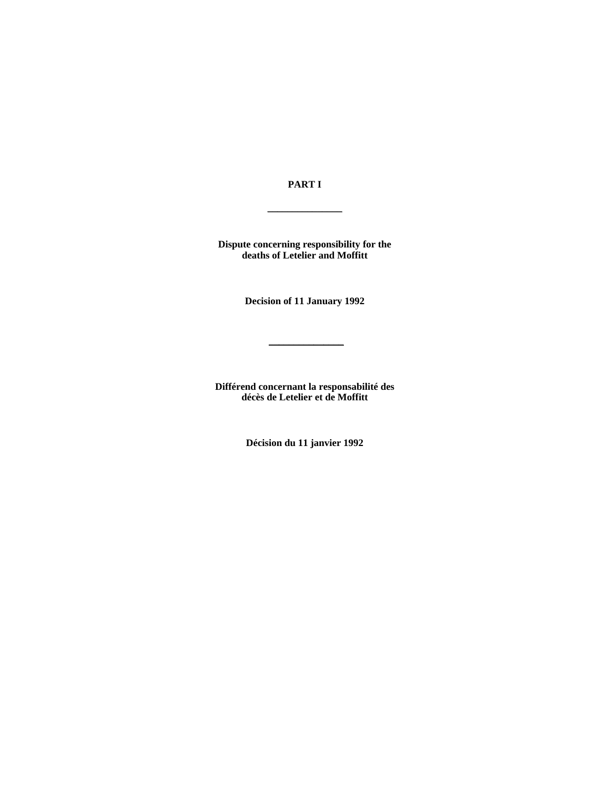**PART I** 

 $\overline{\phantom{a}}$  , where  $\overline{\phantom{a}}$ 

**Dispute concerning responsibility for the deaths of Letelier and Moffitt** 

**Decision of 11 January 1992** 

\_\_\_\_\_\_\_\_\_\_\_\_\_\_\_

**Différend concernant la responsabilité des décès de Letelier et de Moffitt** 

**Décision du 11 janvier 1992**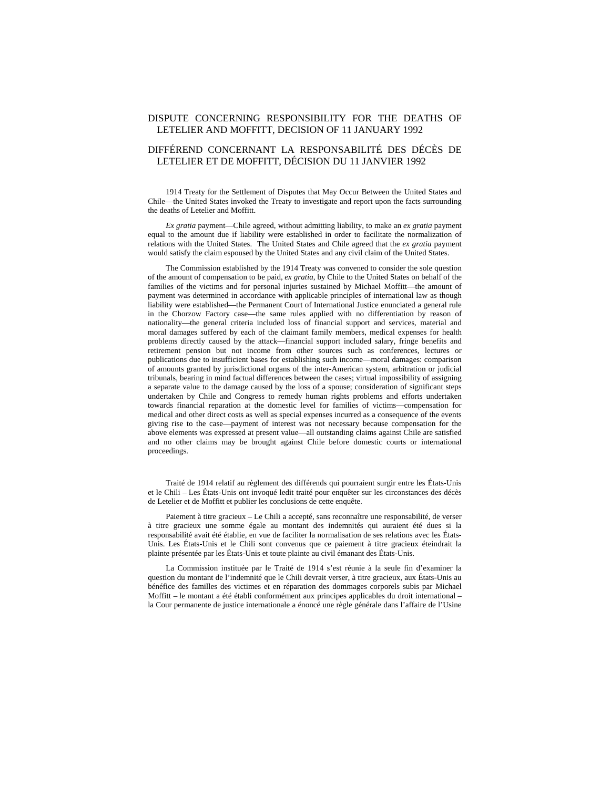## DISPUTE CONCERNING RESPONSIBILITY FOR THE DEATHS OF LETELIER AND MOFFITT, DECISION OF 11 JANUARY 1992

# DIFFÉREND CONCERNANT LA RESPONSABILITÉ DES DÉCÈS DE LETELIER ET DE MOFFITT, DÉCISION DU 11 JANVIER 1992

1914 Treaty for the Settlement of Disputes that May Occur Between the United States and Chile—the United States invoked the Treaty to investigate and report upon the facts surrounding the deaths of Letelier and Moffitt.

*Ex gratia* payment—Chile agreed, without admitting liability, to make an *ex gratia* payment equal to the amount due if liability were established in order to facilitate the normalization of relations with the United States. The United States and Chile agreed that the *ex gratia* payment would satisfy the claim espoused by the United States and any civil claim of the United States.

The Commission established by the 1914 Treaty was convened to consider the sole question of the amount of compensation to be paid, *ex gratia*, by Chile to the United States on behalf of the families of the victims and for personal injuries sustained by Michael Moffitt—the amount of payment was determined in accordance with applicable principles of international law as though liability were established—the Permanent Court of International Justice enunciated a general rule in the Chorzow Factory case—the same rules applied with no differentiation by reason of nationality—the general criteria included loss of financial support and services, material and moral damages suffered by each of the claimant family members, medical expenses for health problems directly caused by the attack—financial support included salary, fringe benefits and retirement pension but not income from other sources such as conferences, lectures or publications due to insufficient bases for establishing such income—moral damages: comparison of amounts granted by jurisdictional organs of the inter-American system, arbitration or judicial tribunals, bearing in mind factual differences between the cases; virtual impossibility of assigning a separate value to the damage caused by the loss of a spouse; consideration of significant steps undertaken by Chile and Congress to remedy human rights problems and efforts undertaken towards financial reparation at the domestic level for families of victims—compensation for medical and other direct costs as well as special expenses incurred as a consequence of the events giving rise to the case—payment of interest was not necessary because compensation for the above elements was expressed at present value—all outstanding claims against Chile are satisfied and no other claims may be brought against Chile before domestic courts or international proceedings.

Traité de 1914 relatif au règlement des différends qui pourraient surgir entre les États-Unis et le Chili – Les États-Unis ont invoqué ledit traité pour enquêter sur les circonstances des décès de Letelier et de Moffitt et publier les conclusions de cette enquête.

Paiement à titre gracieux – Le Chili a accepté, sans reconnaître une responsabilité, de verser à titre gracieux une somme égale au montant des indemnités qui auraient été dues si la responsabilité avait été établie, en vue de faciliter la normalisation de ses relations avec les États-Unis. Les États-Unis et le Chili sont convenus que ce paiement à titre gracieux éteindrait la plainte présentée par les États-Unis et toute plainte au civil émanant des États-Unis.

La Commission instituée par le Traité de 1914 s'est réunie à la seule fin d'examiner la question du montant de l'indemnité que le Chili devrait verser, à titre gracieux, aux États-Unis au bénéfice des familles des victimes et en réparation des dommages corporels subis par Michael Moffitt – le montant a été établi conformément aux principes applicables du droit international – la Cour permanente de justice internationale a énoncé une règle générale dans l'affaire de l'Usine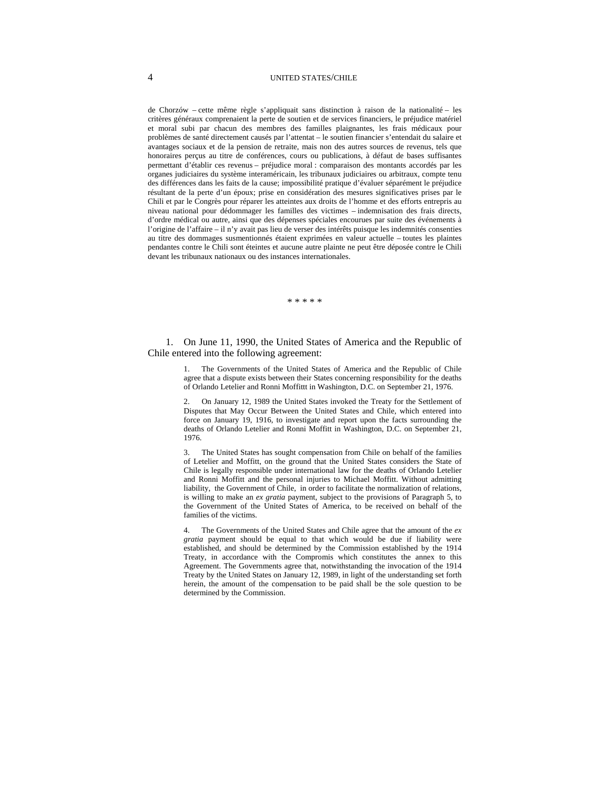#### 4 UNITED STATES/CHILE

de Chorzów – cette même règle s'appliquait sans distinction à raison de la nationalité – les critères généraux comprenaient la perte de soutien et de services financiers, le préjudice matériel et moral subi par chacun des membres des familles plaignantes, les frais médicaux pour problèmes de santé directement causés par l'attentat – le soutien financier s'entendait du salaire et avantages sociaux et de la pension de retraite, mais non des autres sources de revenus, tels que honoraires perçus au titre de conférences, cours ou publications, à défaut de bases suffisantes permettant d'établir ces revenus – préjudice moral : comparaison des montants accordés par les organes judiciaires du système interaméricain, les tribunaux judiciaires ou arbitraux, compte tenu des différences dans les faits de la cause; impossibilité pratique d'évaluer séparément le préjudice résultant de la perte d'un époux; prise en considération des mesures significatives prises par le Chili et par le Congrès pour réparer les atteintes aux droits de l'homme et des efforts entrepris au niveau national pour dédommager les familles des victimes – indemnisation des frais directs, d'ordre médical ou autre, ainsi que des dépenses spéciales encourues par suite des événements à l'origine de l'affaire – il n'y avait pas lieu de verser des intérêts puisque les indemnités consenties au titre des dommages susmentionnés étaient exprimées en valeur actuelle – toutes les plaintes pendantes contre le Chili sont éteintes et aucune autre plainte ne peut être déposée contre le Chili devant les tribunaux nationaux ou des instances internationales.

\* \* \* \* \*

1. On June 11, 1990, the United States of America and the Republic of Chile entered into the following agreement:

> 1. The Governments of the United States of America and the Republic of Chile agree that a dispute exists between their States concerning responsibility for the deaths of Orlando Letelier and Ronni Moffittt in Washington, D.C. on September 21, 1976.

> 2. On January 12, 1989 the United States invoked the Treaty for the Settlement of Disputes that May Occur Between the United States and Chile, which entered into force on January 19, 1916, to investigate and report upon the facts surrounding the deaths of Orlando Letelier and Ronni Moffitt in Washington, D.C. on September 21, 1976.

> The United States has sought compensation from Chile on behalf of the families of Letelier and Moffitt, on the ground that the United States considers the State of Chile is legally responsible under international law for the deaths of Orlando Letelier and Ronni Moffitt and the personal injuries to Michael Moffitt. Without admitting liability, the Government of Chile, in order to facilitate the normalization of relations, is willing to make an *ex gratia* payment, subject to the provisions of Paragraph 5, to the Government of the United States of America, to be received on behalf of the families of the victims.

> 4. The Governments of the United States and Chile agree that the amount of the *ex gratia* payment should be equal to that which would be due if liability were established, and should be determined by the Commission established by the 1914 Treaty, in accordance with the Compromis which constitutes the annex to this Agreement. The Governments agree that, notwithstanding the invocation of the 1914 Treaty by the United States on January 12, 1989, in light of the understanding set forth herein, the amount of the compensation to be paid shall be the sole question to be determined by the Commission.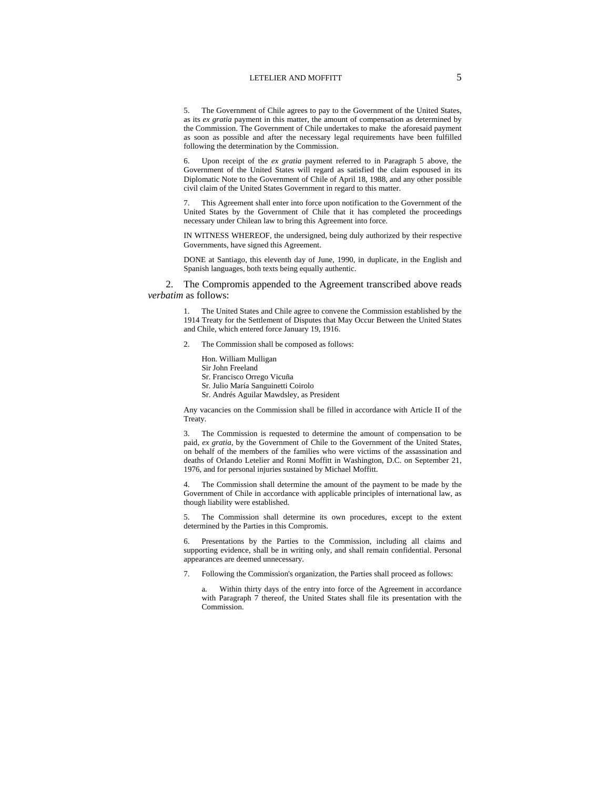5. The Government of Chile agrees to pay to the Government of the United States, as its *ex gratia* payment in this matter, the amount of compensation as determined by the Commission. The Government of Chile undertakes to make the aforesaid payment as soon as possible and after the necessary legal requirements have been fulfilled following the determination by the Commission.

Upon receipt of the *ex gratia* payment referred to in Paragraph 5 above, the Government of the United States will regard as satisfied the claim espoused in its Diplomatic Note to the Government of Chile of April 18, 1988, and any other possible civil claim of the United States Government in regard to this matter.

7. This Agreement shall enter into force upon notification to the Government of the United States by the Government of Chile that it has completed the proceedings necessary under Chilean law to bring this Agreement into force.

IN WITNESS WHEREOF, the undersigned, being duly authorized by their respective Governments, have signed this Agreement.

DONE at Santiago, this eleventh day of June, 1990, in duplicate, in the English and Spanish languages, both texts being equally authentic.

2. The Compromis appended to the Agreement transcribed above reads *verbatim* as follows:

> The United States and Chile agree to convene the Commission established by the 1914 Treaty for the Settlement of Disputes that May Occur Between the United States and Chile, which entered force January 19, 1916.

The Commission shall be composed as follows:

Hon. William Mulligan Sir John Freeland Sr. Francisco Orrego Vicuña Sr. Julio María Sanguinetti Coirolo Sr. Andrés Aguilar Mawdsley, as President

Any vacancies on the Commission shall be filled in accordance with Article II of the Treaty.

3. The Commission is requested to determine the amount of compensation to be paid, *ex gratia*, by the Government of Chile to the Government of the United States, on behalf of the members of the families who were victims of the assassination and deaths of Orlando Letelier and Ronni Moffitt in Washington, D.C. on September 21, 1976, and for personal injuries sustained by Michael Moffitt.

The Commission shall determine the amount of the payment to be made by the Government of Chile in accordance with applicable principles of international law, as though liability were established.

5. The Commission shall determine its own procedures, except to the extent determined by the Parties in this Compromis.

6. Presentations by the Parties to the Commission, including all claims and supporting evidence, shall be in writing only, and shall remain confidential. Personal appearances are deemed unnecessary.

7. Following the Commission's organization, the Parties shall proceed as follows:

Within thirty days of the entry into force of the Agreement in accordance with Paragraph 7 thereof, the United States shall file its presentation with the Commission.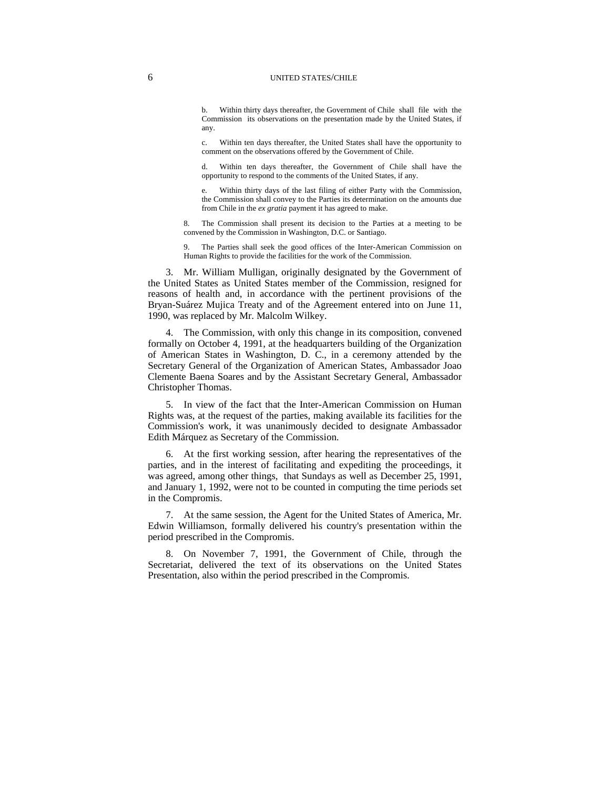#### 6 UNITED STATES/CHILE

b. Within thirty days thereafter, the Government of Chile shall file with the Commission its observations on the presentation made by the United States, if any.

c. Within ten days thereafter, the United States shall have the opportunity to comment on the observations offered by the Government of Chile.

d. Within ten days thereafter, the Government of Chile shall have the opportunity to respond to the comments of the United States, if any.

e. Within thirty days of the last filing of either Party with the Commission, the Commission shall convey to the Parties its determination on the amounts due from Chile in the *ex gratia* payment it has agreed to make.

The Commission shall present its decision to the Parties at a meeting to be convened by the Commission in Washington, D.C. or Santiago.

9. The Parties shall seek the good offices of the Inter-American Commission on Human Rights to provide the facilities for the work of the Commission.

3. Mr. William Mulligan, originally designated by the Government of the United States as United States member of the Commission, resigned for reasons of health and, in accordance with the pertinent provisions of the Bryan-Suárez Mujica Treaty and of the Agreement entered into on June 11, 1990, was replaced by Mr. Malcolm Wilkey.

4. The Commission, with only this change in its composition, convened formally on October 4, 1991, at the headquarters building of the Organization of American States in Washington, D. C., in a ceremony attended by the Secretary General of the Organization of American States, Ambassador Joao Clemente Baena Soares and by the Assistant Secretary General, Ambassador Christopher Thomas.

5. In view of the fact that the Inter-American Commission on Human Rights was, at the request of the parties, making available its facilities for the Commission's work, it was unanimously decided to designate Ambassador Edith Márquez as Secretary of the Commission.

6. At the first working session, after hearing the representatives of the parties, and in the interest of facilitating and expediting the proceedings, it was agreed, among other things, that Sundays as well as December 25, 1991, and January 1, 1992, were not to be counted in computing the time periods set in the Compromis.

7. At the same session, the Agent for the United States of America, Mr. Edwin Williamson, formally delivered his country's presentation within the period prescribed in the Compromis.

8. On November 7, 1991, the Government of Chile, through the Secretariat, delivered the text of its observations on the United States Presentation, also within the period prescribed in the Compromis.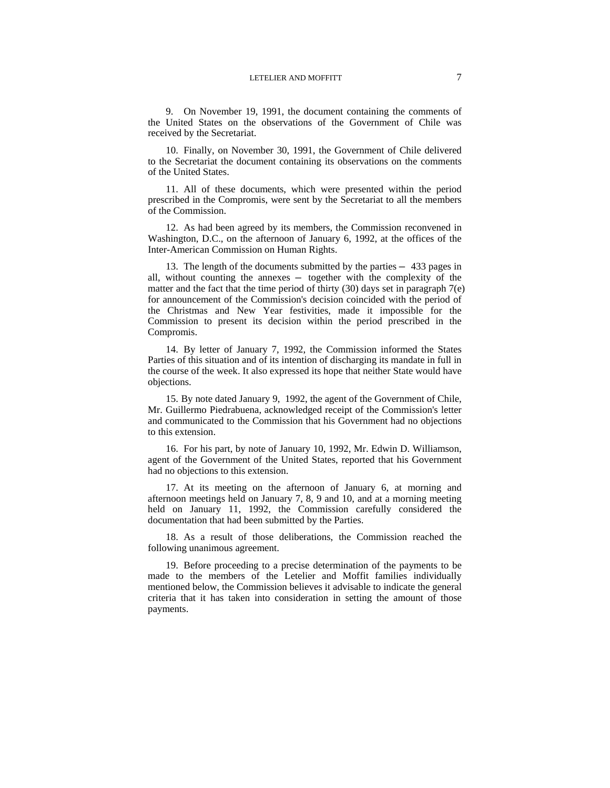9. On November 19, 1991, the document containing the comments of the United States on the observations of the Government of Chile was received by the Secretariat.

10. Finally, on November 30, 1991, the Government of Chile delivered to the Secretariat the document containing its observations on the comments of the United States.

11. All of these documents, which were presented within the period prescribed in the Compromis, were sent by the Secretariat to all the members of the Commission.

12. As had been agreed by its members, the Commission reconvened in Washington, D.C., on the afternoon of January 6, 1992, at the offices of the Inter-American Commission on Human Rights.

13. The length of the documents submitted by the parties — 433 pages in all, without counting the annexes — together with the complexity of the matter and the fact that the time period of thirty  $(30)$  days set in paragraph  $7(e)$ for announcement of the Commission's decision coincided with the period of the Christmas and New Year festivities, made it impossible for the Commission to present its decision within the period prescribed in the Compromis.

14. By letter of January 7, 1992, the Commission informed the States Parties of this situation and of its intention of discharging its mandate in full in the course of the week. It also expressed its hope that neither State would have objections.

15. By note dated January 9, 1992, the agent of the Government of Chile, Mr. Guillermo Piedrabuena, acknowledged receipt of the Commission's letter and communicated to the Commission that his Government had no objections to this extension.

16. For his part, by note of January 10, 1992, Mr. Edwin D. Williamson, agent of the Government of the United States, reported that his Government had no objections to this extension.

17. At its meeting on the afternoon of January 6, at morning and afternoon meetings held on January 7, 8, 9 and 10, and at a morning meeting held on January 11, 1992, the Commission carefully considered the documentation that had been submitted by the Parties.

18. As a result of those deliberations, the Commission reached the following unanimous agreement.

19. Before proceeding to a precise determination of the payments to be made to the members of the Letelier and Moffit families individually mentioned below, the Commission believes it advisable to indicate the general criteria that it has taken into consideration in setting the amount of those payments.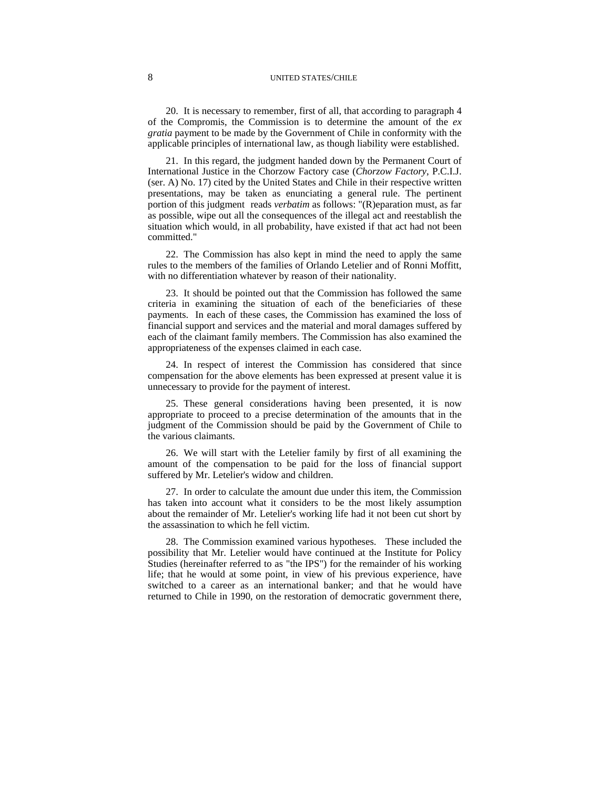#### 8 UNITED STATES/CHILE

20. It is necessary to remember, first of all, that according to paragraph 4 of the Compromis, the Commission is to determine the amount of the *ex gratia* payment to be made by the Government of Chile in conformity with the applicable principles of international law, as though liability were established.

21. In this regard, the judgment handed down by the Permanent Court of International Justice in the Chorzow Factory case (*Chorzow Factory*, P.C.I.J. (ser. A) No. 17) cited by the United States and Chile in their respective written presentations, may be taken as enunciating a general rule. The pertinent portion of this judgment reads *verbatim* as follows: "(R)eparation must, as far as possible, wipe out all the consequences of the illegal act and reestablish the situation which would, in all probability, have existed if that act had not been committed."

22. The Commission has also kept in mind the need to apply the same rules to the members of the families of Orlando Letelier and of Ronni Moffitt, with no differentiation whatever by reason of their nationality.

23. It should be pointed out that the Commission has followed the same criteria in examining the situation of each of the beneficiaries of these payments. In each of these cases, the Commission has examined the loss of financial support and services and the material and moral damages suffered by each of the claimant family members. The Commission has also examined the appropriateness of the expenses claimed in each case.

24. In respect of interest the Commission has considered that since compensation for the above elements has been expressed at present value it is unnecessary to provide for the payment of interest.

25. These general considerations having been presented, it is now appropriate to proceed to a precise determination of the amounts that in the judgment of the Commission should be paid by the Government of Chile to the various claimants.

26. We will start with the Letelier family by first of all examining the amount of the compensation to be paid for the loss of financial support suffered by Mr. Letelier's widow and children.

27. In order to calculate the amount due under this item, the Commission has taken into account what it considers to be the most likely assumption about the remainder of Mr. Letelier's working life had it not been cut short by the assassination to which he fell victim.

28. The Commission examined various hypotheses. These included the possibility that Mr. Letelier would have continued at the Institute for Policy Studies (hereinafter referred to as "the IPS") for the remainder of his working life; that he would at some point, in view of his previous experience, have switched to a career as an international banker; and that he would have returned to Chile in 1990, on the restoration of democratic government there,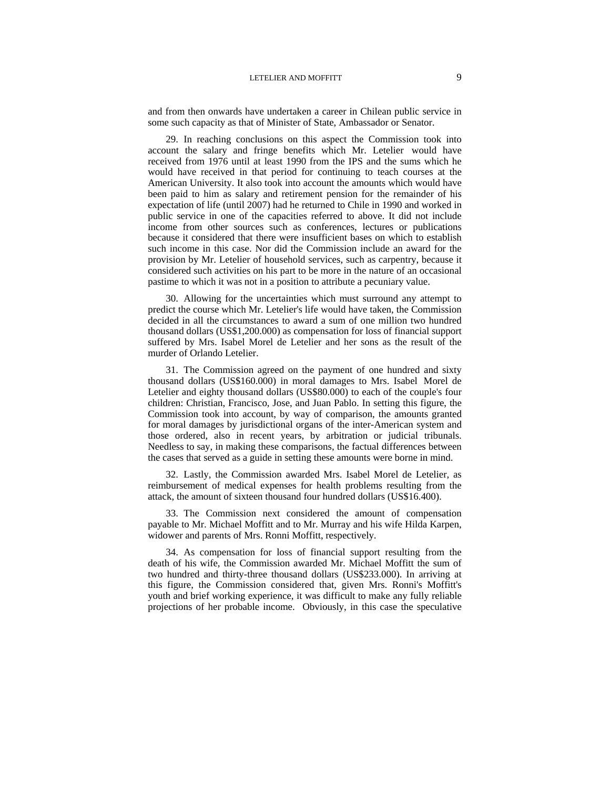and from then onwards have undertaken a career in Chilean public service in some such capacity as that of Minister of State, Ambassador or Senator.

29. In reaching conclusions on this aspect the Commission took into account the salary and fringe benefits which Mr. Letelier would have received from 1976 until at least 1990 from the IPS and the sums which he would have received in that period for continuing to teach courses at the American University. It also took into account the amounts which would have been paid to him as salary and retirement pension for the remainder of his expectation of life (until 2007) had he returned to Chile in 1990 and worked in public service in one of the capacities referred to above. It did not include income from other sources such as conferences, lectures or publications because it considered that there were insufficient bases on which to establish such income in this case. Nor did the Commission include an award for the provision by Mr. Letelier of household services, such as carpentry, because it considered such activities on his part to be more in the nature of an occasional pastime to which it was not in a position to attribute a pecuniary value.

30. Allowing for the uncertainties which must surround any attempt to predict the course which Mr. Letelier's life would have taken, the Commission decided in all the circumstances to award a sum of one million two hundred thousand dollars (US\$1,200.000) as compensation for loss of financial support suffered by Mrs. Isabel Morel de Letelier and her sons as the result of the murder of Orlando Letelier.

31. The Commission agreed on the payment of one hundred and sixty thousand dollars (US\$160.000) in moral damages to Mrs. Isabel Morel de Letelier and eighty thousand dollars (US\$80.000) to each of the couple's four children: Christian, Francisco, Jose, and Juan Pablo. In setting this figure, the Commission took into account, by way of comparison, the amounts granted for moral damages by jurisdictional organs of the inter-American system and those ordered, also in recent years, by arbitration or judicial tribunals. Needless to say, in making these comparisons, the factual differences between the cases that served as a guide in setting these amounts were borne in mind.

32. Lastly, the Commission awarded Mrs. Isabel Morel de Letelier, as reimbursement of medical expenses for health problems resulting from the attack, the amount of sixteen thousand four hundred dollars (US\$16.400).

33. The Commission next considered the amount of compensation payable to Mr. Michael Moffitt and to Mr. Murray and his wife Hilda Karpen, widower and parents of Mrs. Ronni Moffitt, respectively.

34. As compensation for loss of financial support resulting from the death of his wife, the Commission awarded Mr. Michael Moffitt the sum of two hundred and thirty-three thousand dollars (US\$233.000). In arriving at this figure, the Commission considered that, given Mrs. Ronni's Moffitt's youth and brief working experience, it was difficult to make any fully reliable projections of her probable income. Obviously, in this case the speculative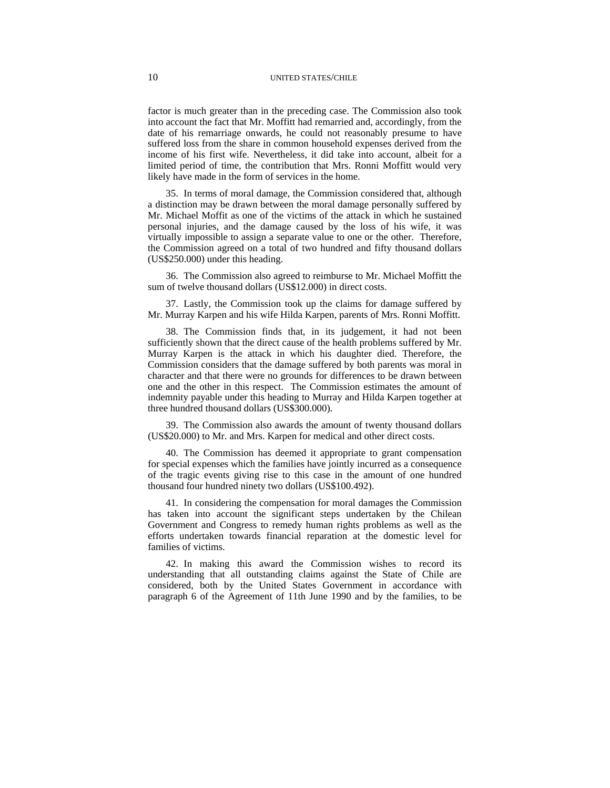factor is much greater than in the preceding case. The Commission also took into account the fact that Mr. Moffitt had remarried and, accordingly, from the date of his remarriage onwards, he could not reasonably presume to have suffered loss from the share in common household expenses derived from the income of his first wife. Nevertheless, it did take into account, albeit for a limited period of time, the contribution that Mrs. Ronni Moffitt would very likely have made in the form of services in the home.

35. In terms of moral damage, the Commission considered that, although a distinction may be drawn between the moral damage personally suffered by Mr. Michael Moffit as one of the victims of the attack in which he sustained personal injuries, and the damage caused by the loss of his wife, it was virtually impossible to assign a separate value to one or the other. Therefore, the Commission agreed on a total of two hundred and fifty thousand dollars (US\$250.000) under this heading.

36. The Commission also agreed to reimburse to Mr. Michael Moffitt the sum of twelve thousand dollars (US\$12.000) in direct costs.

37. Lastly, the Commission took up the claims for damage suffered by Mr. Murray Karpen and his wife Hilda Karpen, parents of Mrs. Ronni Moffitt.

38. The Commission finds that, in its judgement, it had not been sufficiently shown that the direct cause of the health problems suffered by Mr. Murray Karpen is the attack in which his daughter died. Therefore, the Commission considers that the damage suffered by both parents was moral in character and that there were no grounds for differences to be drawn between one and the other in this respect. The Commission estimates the amount of indemnity payable under this heading to Murray and Hilda Karpen together at three hundred thousand dollars (US\$300.000).

39. The Commission also awards the amount of twenty thousand dollars (US\$20.000) to Mr. and Mrs. Karpen for medical and other direct costs.

40. The Commission has deemed it appropriate to grant compensation for special expenses which the families have jointly incurred as a consequence of the tragic events giving rise to this case in the amount of one hundred thousand four hundred ninety two dollars (US\$100.492).

41. In considering the compensation for moral damages the Commission has taken into account the significant steps undertaken by the Chilean Government and Congress to remedy human rights problems as well as the efforts undertaken towards financial reparation at the domestic level for families of victims.

42. In making this award the Commission wishes to record its understanding that all outstanding claims against the State of Chile are considered, both by the United States Government in accordance with paragraph 6 of the Agreement of 11th June 1990 and by the families, to be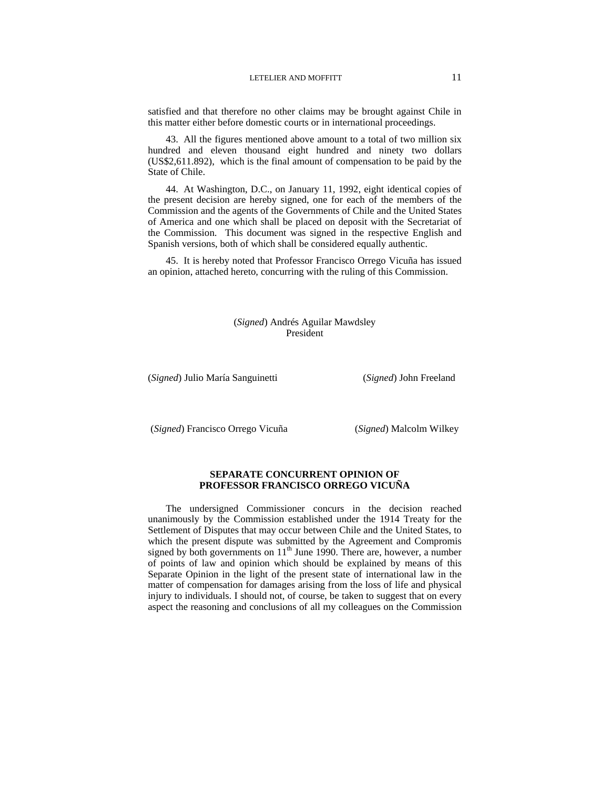satisfied and that therefore no other claims may be brought against Chile in this matter either before domestic courts or in international proceedings.

43. All the figures mentioned above amount to a total of two million six hundred and eleven thousand eight hundred and ninety two dollars (US\$2,611.892), which is the final amount of compensation to be paid by the State of Chile.

44. At Washington, D.C., on January 11, 1992, eight identical copies of the present decision are hereby signed, one for each of the members of the Commission and the agents of the Governments of Chile and the United States of America and one which shall be placed on deposit with the Secretariat of the Commission. This document was signed in the respective English and Spanish versions, both of which shall be considered equally authentic.

45. It is hereby noted that Professor Francisco Orrego Vicuña has issued an opinion, attached hereto, concurring with the ruling of this Commission.

## (*Signed*) Andrés Aguilar Mawdsley President

(*Signed*) Julio María Sanguinetti (*Signed*) John Freeland

(*Signed*) Francisco Orrego Vicuña (*Signed*) Malcolm Wilkey

## **SEPARATE CONCURRENT OPINION OF PROFESSOR FRANCISCO ORREGO VICUÑA**

The undersigned Commissioner concurs in the decision reached unanimously by the Commission established under the 1914 Treaty for the Settlement of Disputes that may occur between Chile and the United States, to which the present dispute was submitted by the Agreement and Compromis signed by both governments on  $11<sup>th</sup>$  June 1990. There are, however, a number of points of law and opinion which should be explained by means of this Separate Opinion in the light of the present state of international law in the matter of compensation for damages arising from the loss of life and physical injury to individuals. I should not, of course, be taken to suggest that on every aspect the reasoning and conclusions of all my colleagues on the Commission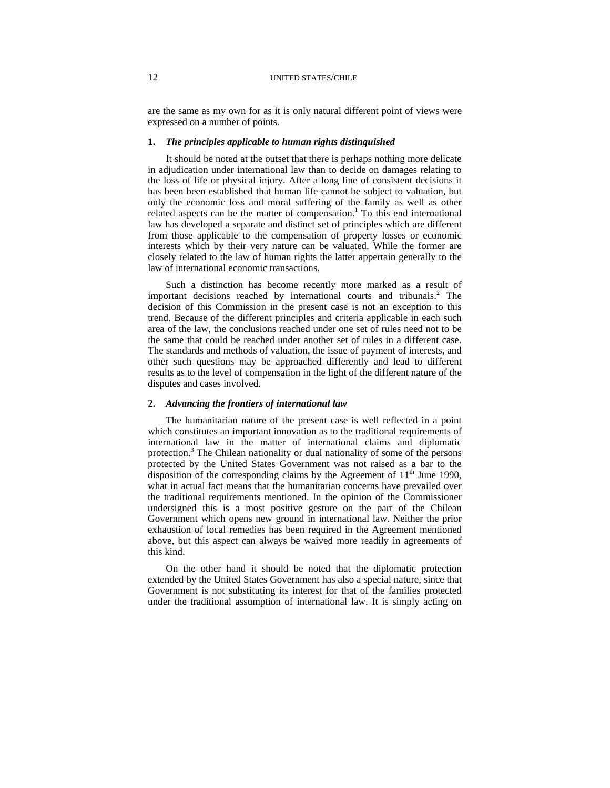are the same as my own for as it is only natural different point of views were expressed on a number of points.

## **1.** *The principles applicable to human rights distinguished*

It should be noted at the outset that there is perhaps nothing more delicate in adjudication under international law than to decide on damages relating to the loss of life or physical injury. After a long line of consistent decisions it has been been established that human life cannot be subject to valuation, but only the economic loss and moral suffering of the family as well as other related aspects can be the matter of compensation.<sup>1</sup> To this end international law has developed a separate and distinct set of principles which are different from those applicable to the compensation of property losses or economic interests which by their very nature can be valuated. While the former are closely related to the law of human rights the latter appertain generally to the law of international economic transactions.

Such a distinction has become recently more marked as a result of important decisions reached by international courts and tribunals.<sup>2</sup> The decision of this Commission in the present case is not an exception to this trend. Because of the different principles and criteria applicable in each such area of the law, the conclusions reached under one set of rules need not to be the same that could be reached under another set of rules in a different case. The standards and methods of valuation, the issue of payment of interests, and other such questions may be approached differently and lead to different results as to the level of compensation in the light of the different nature of the disputes and cases involved.

#### **2.** *Advancing the frontiers of international law*

The humanitarian nature of the present case is well reflected in a point which constitutes an important innovation as to the traditional requirements of international law in the matter of international claims and diplomatic protection.<sup>3</sup> The Chilean nationality or dual nationality of some of the persons protected by the United States Government was not raised as a bar to the disposition of the corresponding claims by the Agreement of  $11<sup>th</sup>$  June 1990, what in actual fact means that the humanitarian concerns have prevailed over the traditional requirements mentioned. In the opinion of the Commissioner undersigned this is a most positive gesture on the part of the Chilean Government which opens new ground in international law. Neither the prior exhaustion of local remedies has been required in the Agreement mentioned above, but this aspect can always be waived more readily in agreements of this kind.

On the other hand it should be noted that the diplomatic protection extended by the United States Government has also a special nature, since that Government is not substituting its interest for that of the families protected under the traditional assumption of international law. It is simply acting on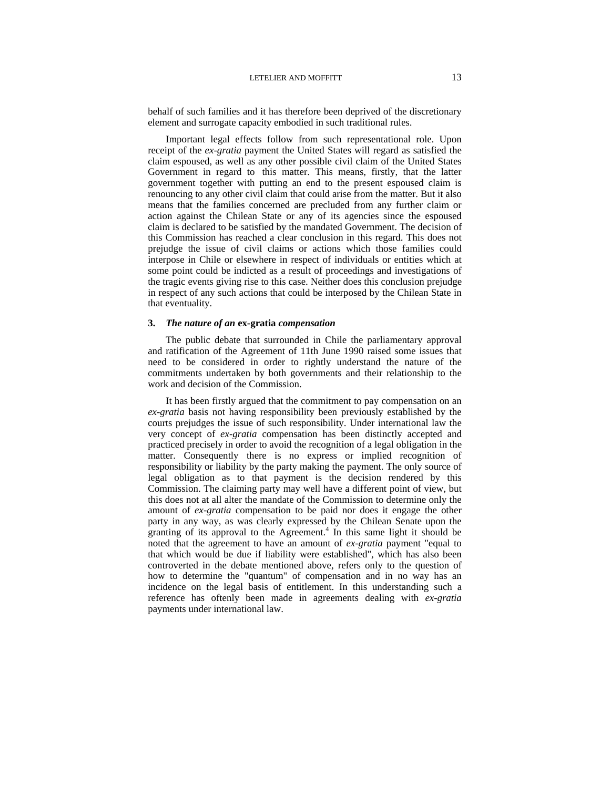behalf of such families and it has therefore been deprived of the discretionary element and surrogate capacity embodied in such traditional rules.

Important legal effects follow from such representational role. Upon receipt of the *ex-gratia* payment the United States will regard as satisfied the claim espoused, as well as any other possible civil claim of the United States Government in regard to this matter. This means, firstly, that the latter government together with putting an end to the present espoused claim is renouncing to any other civil claim that could arise from the matter. But it also means that the families concerned are precluded from any further claim or action against the Chilean State or any of its agencies since the espoused claim is declared to be satisfied by the mandated Government. The decision of this Commission has reached a clear conclusion in this regard. This does not prejudge the issue of civil claims or actions which those families could interpose in Chile or elsewhere in respect of individuals or entities which at some point could be indicted as a result of proceedings and investigations of the tragic events giving rise to this case. Neither does this conclusion prejudge in respect of any such actions that could be interposed by the Chilean State in that eventuality.

## **3.** *The nature of an* **ex-gratia** *compensation*

The public debate that surrounded in Chile the parliamentary approval and ratification of the Agreement of 11th June 1990 raised some issues that need to be considered in order to rightly understand the nature of the commitments undertaken by both governments and their relationship to the work and decision of the Commission.

It has been firstly argued that the commitment to pay compensation on an *ex-gratia* basis not having responsibility been previously established by the courts prejudges the issue of such responsibility. Under international law the very concept of *ex-gratia* compensation has been distinctly accepted and practiced precisely in order to avoid the recognition of a legal obligation in the matter. Consequently there is no express or implied recognition of responsibility or liability by the party making the payment. The only source of legal obligation as to that payment is the decision rendered by this Commission. The claiming party may well have a different point of view, but this does not at all alter the mandate of the Commission to determine only the amount of *ex-gratia* compensation to be paid nor does it engage the other party in any way, as was clearly expressed by the Chilean Senate upon the granting of its approval to the Agreement.<sup>4</sup> In this same light it should be noted that the agreement to have an amount of *ex-gratia* payment "equal to that which would be due if liability were established", which has also been controverted in the debate mentioned above, refers only to the question of how to determine the "quantum" of compensation and in no way has an incidence on the legal basis of entitlement. In this understanding such a reference has oftenly been made in agreements dealing with *ex-gratia* payments under international law.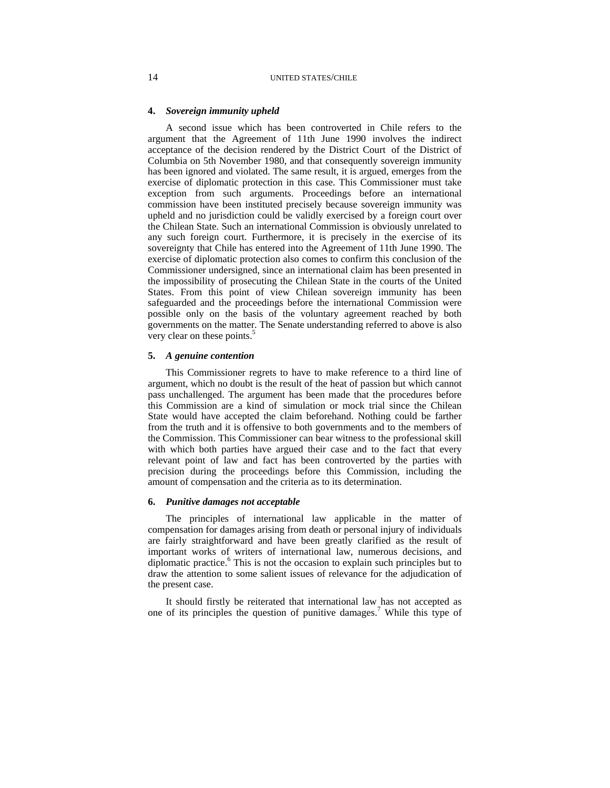## **4.** *Sovereign immunity upheld*

A second issue which has been controverted in Chile refers to the argument that the Agreement of 11th June 1990 involves the indirect acceptance of the decision rendered by the District Court of the District of Columbia on 5th November 1980, and that consequently sovereign immunity has been ignored and violated. The same result, it is argued, emerges from the exercise of diplomatic protection in this case. This Commissioner must take exception from such arguments. Proceedings before an international commission have been instituted precisely because sovereign immunity was upheld and no jurisdiction could be validly exercised by a foreign court over the Chilean State. Such an international Commission is obviously unrelated to any such foreign court. Furthermore, it is precisely in the exercise of its sovereignty that Chile has entered into the Agreement of 11th June 1990. The exercise of diplomatic protection also comes to confirm this conclusion of the Commissioner undersigned, since an international claim has been presented in the impossibility of prosecuting the Chilean State in the courts of the United States. From this point of view Chilean sovereign immunity has been safeguarded and the proceedings before the international Commission were possible only on the basis of the voluntary agreement reached by both governments on the matter. The Senate understanding referred to above is also very clear on these points.<sup>5</sup>

#### **5.** *A genuine contention*

This Commissioner regrets to have to make reference to a third line of argument, which no doubt is the result of the heat of passion but which cannot pass unchallenged. The argument has been made that the procedures before this Commission are a kind of simulation or mock trial since the Chilean State would have accepted the claim beforehand. Nothing could be farther from the truth and it is offensive to both governments and to the members of the Commission. This Commissioner can bear witness to the professional skill with which both parties have argued their case and to the fact that every relevant point of law and fact has been controverted by the parties with precision during the proceedings before this Commission, including the amount of compensation and the criteria as to its determination.

## **6.** *Punitive damages not acceptable*

The principles of international law applicable in the matter of compensation for damages arising from death or personal injury of individuals are fairly straightforward and have been greatly clarified as the result of important works of writers of international law, numerous decisions, and diplomatic practice.<sup>6</sup> This is not the occasion to explain such principles but to draw the attention to some salient issues of relevance for the adjudication of the present case.

It should firstly be reiterated that international law has not accepted as one of its principles the question of punitive damages.<sup>7</sup> While this type of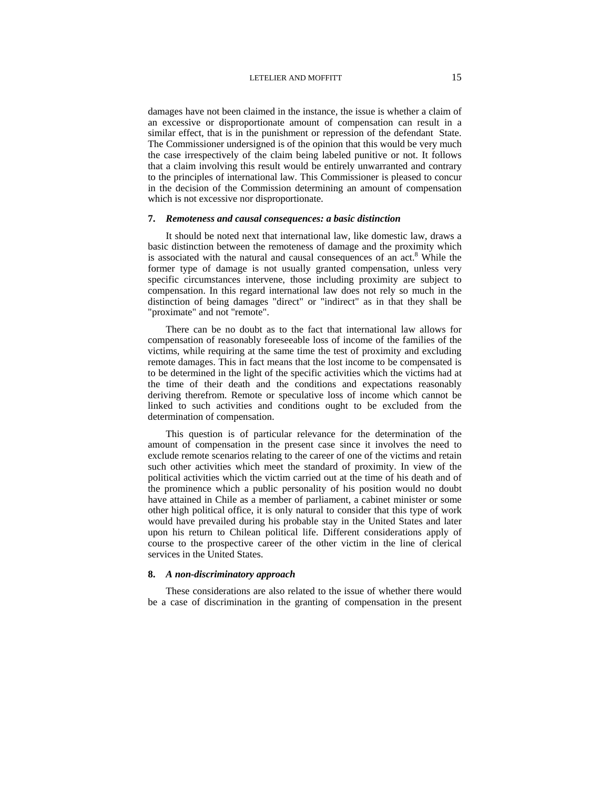damages have not been claimed in the instance, the issue is whether a claim of an excessive or disproportionate amount of compensation can result in a similar effect, that is in the punishment or repression of the defendant State. The Commissioner undersigned is of the opinion that this would be very much the case irrespectively of the claim being labeled punitive or not. It follows that a claim involving this result would be entirely unwarranted and contrary to the principles of international law. This Commissioner is pleased to concur in the decision of the Commission determining an amount of compensation which is not excessive nor disproportionate.

## **7.** *Remoteness and causal consequences: a basic distinction*

It should be noted next that international law, like domestic law, draws a basic distinction between the remoteness of damage and the proximity which is associated with the natural and causal consequences of an act.<sup>8</sup> While the former type of damage is not usually granted compensation, unless very specific circumstances intervene, those including proximity are subject to compensation. In this regard international law does not rely so much in the distinction of being damages "direct" or "indirect" as in that they shall be "proximate" and not "remote".

There can be no doubt as to the fact that international law allows for compensation of reasonably foreseeable loss of income of the families of the victims, while requiring at the same time the test of proximity and excluding remote damages. This in fact means that the lost income to be compensated is to be determined in the light of the specific activities which the victims had at the time of their death and the conditions and expectations reasonably deriving therefrom. Remote or speculative loss of income which cannot be linked to such activities and conditions ought to be excluded from the determination of compensation.

This question is of particular relevance for the determination of the amount of compensation in the present case since it involves the need to exclude remote scenarios relating to the career of one of the victims and retain such other activities which meet the standard of proximity. In view of the political activities which the victim carried out at the time of his death and of the prominence which a public personality of his position would no doubt have attained in Chile as a member of parliament, a cabinet minister or some other high political office, it is only natural to consider that this type of work would have prevailed during his probable stay in the United States and later upon his return to Chilean political life. Different considerations apply of course to the prospective career of the other victim in the line of clerical services in the United States.

### **8.** *A non-discriminatory approach*

These considerations are also related to the issue of whether there would be a case of discrimination in the granting of compensation in the present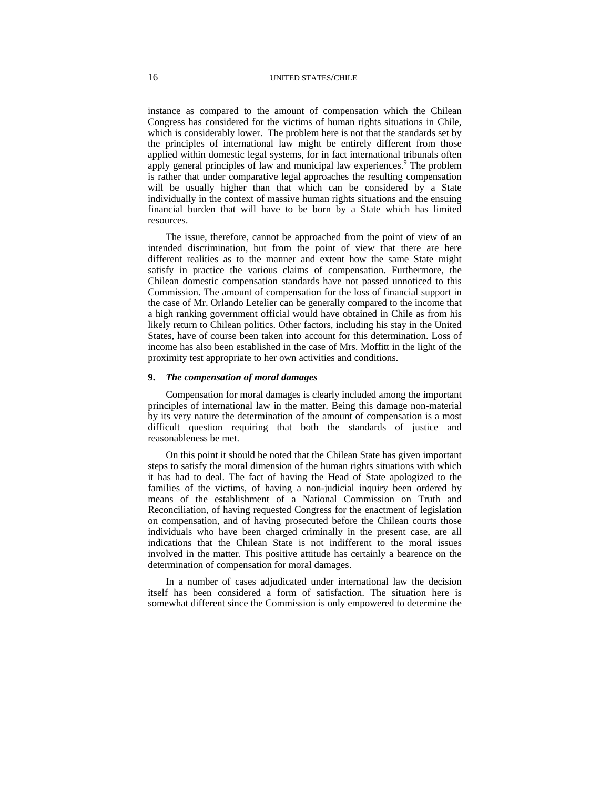instance as compared to the amount of compensation which the Chilean Congress has considered for the victims of human rights situations in Chile, which is considerably lower. The problem here is not that the standards set by the principles of international law might be entirely different from those applied within domestic legal systems, for in fact international tribunals often apply general principles of law and municipal law experiences.<sup>9</sup> The problem is rather that under comparative legal approaches the resulting compensation will be usually higher than that which can be considered by a State individually in the context of massive human rights situations and the ensuing financial burden that will have to be born by a State which has limited resources.

The issue, therefore, cannot be approached from the point of view of an intended discrimination, but from the point of view that there are here different realities as to the manner and extent how the same State might satisfy in practice the various claims of compensation. Furthermore, the Chilean domestic compensation standards have not passed unnoticed to this Commission. The amount of compensation for the loss of financial support in the case of Mr. Orlando Letelier can be generally compared to the income that a high ranking government official would have obtained in Chile as from his likely return to Chilean politics. Other factors, including his stay in the United States, have of course been taken into account for this determination. Loss of income has also been established in the case of Mrs. Moffitt in the light of the proximity test appropriate to her own activities and conditions.

## **9.** *The compensation of moral damages*

Compensation for moral damages is clearly included among the important principles of international law in the matter. Being this damage non-material by its very nature the determination of the amount of compensation is a most difficult question requiring that both the standards of justice and reasonableness be met.

On this point it should be noted that the Chilean State has given important steps to satisfy the moral dimension of the human rights situations with which it has had to deal. The fact of having the Head of State apologized to the families of the victims, of having a non-judicial inquiry been ordered by means of the establishment of a National Commission on Truth and Reconciliation, of having requested Congress for the enactment of legislation on compensation, and of having prosecuted before the Chilean courts those individuals who have been charged criminally in the present case, are all indications that the Chilean State is not indifferent to the moral issues involved in the matter. This positive attitude has certainly a bearence on the determination of compensation for moral damages.

In a number of cases adjudicated under international law the decision itself has been considered a form of satisfaction. The situation here is somewhat different since the Commission is only empowered to determine the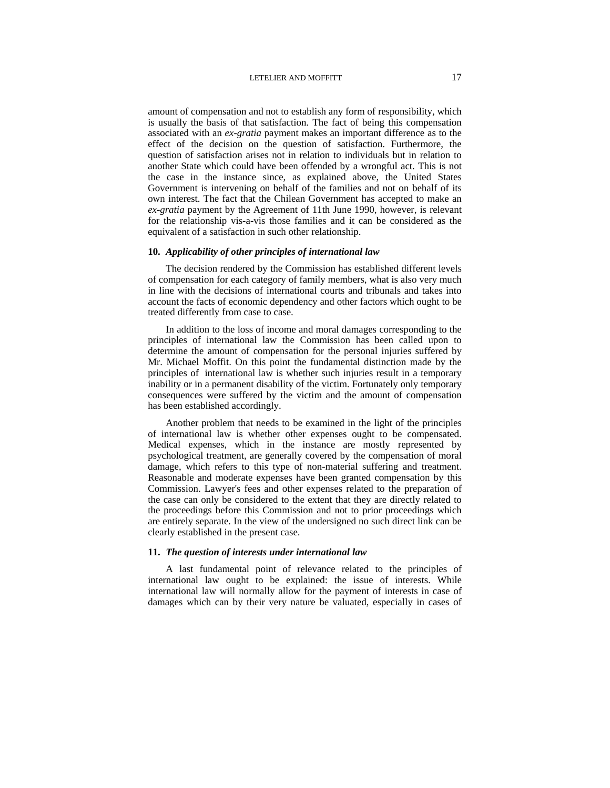amount of compensation and not to establish any form of responsibility, which is usually the basis of that satisfaction. The fact of being this compensation associated with an *ex-gratia* payment makes an important difference as to the effect of the decision on the question of satisfaction. Furthermore, the question of satisfaction arises not in relation to individuals but in relation to another State which could have been offended by a wrongful act. This is not the case in the instance since, as explained above, the United States Government is intervening on behalf of the families and not on behalf of its own interest. The fact that the Chilean Government has accepted to make an *ex-gratia* payment by the Agreement of 11th June 1990, however, is relevant for the relationship vis-a-vis those families and it can be considered as the equivalent of a satisfaction in such other relationship.

## **10.** *Applicability of other principles of international law*

The decision rendered by the Commission has established different levels of compensation for each category of family members, what is also very much in line with the decisions of international courts and tribunals and takes into account the facts of economic dependency and other factors which ought to be treated differently from case to case.

In addition to the loss of income and moral damages corresponding to the principles of international law the Commission has been called upon to determine the amount of compensation for the personal injuries suffered by Mr. Michael Moffit. On this point the fundamental distinction made by the principles of international law is whether such injuries result in a temporary inability or in a permanent disability of the victim. Fortunately only temporary consequences were suffered by the victim and the amount of compensation has been established accordingly.

Another problem that needs to be examined in the light of the principles of international law is whether other expenses ought to be compensated. Medical expenses, which in the instance are mostly represented by psychological treatment, are generally covered by the compensation of moral damage, which refers to this type of non-material suffering and treatment. Reasonable and moderate expenses have been granted compensation by this Commission. Lawyer's fees and other expenses related to the preparation of the case can only be considered to the extent that they are directly related to the proceedings before this Commission and not to prior proceedings which are entirely separate. In the view of the undersigned no such direct link can be clearly established in the present case.

## **11.** *The question of interests under international law*

A last fundamental point of relevance related to the principles of international law ought to be explained: the issue of interests. While international law will normally allow for the payment of interests in case of damages which can by their very nature be valuated, especially in cases of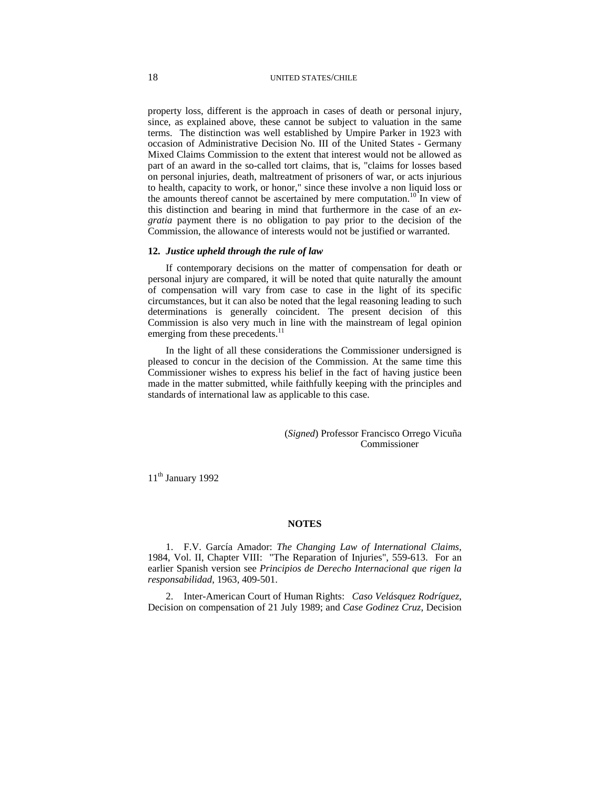property loss, different is the approach in cases of death or personal injury, since, as explained above, these cannot be subject to valuation in the same terms. The distinction was well established by Umpire Parker in 1923 with occasion of Administrative Decision No. III of the United States - Germany Mixed Claims Commission to the extent that interest would not be allowed as part of an award in the so-called tort claims, that is, "claims for losses based on personal injuries, death, maltreatment of prisoners of war, or acts injurious to health, capacity to work, or honor," since these involve a non liquid loss or the amounts thereof cannot be ascertained by mere computation.<sup>10</sup> In view of this distinction and bearing in mind that furthermore in the case of an *exgratia* payment there is no obligation to pay prior to the decision of the Commission, the allowance of interests would not be justified or warranted.

## **12.** *Justice upheld through the rule of law*

If contemporary decisions on the matter of compensation for death or personal injury are compared, it will be noted that quite naturally the amount of compensation will vary from case to case in the light of its specific circumstances, but it can also be noted that the legal reasoning leading to such determinations is generally coincident. The present decision of this Commission is also very much in line with the mainstream of legal opinion emerging from these precedents.<sup>11</sup>

In the light of all these considerations the Commissioner undersigned is pleased to concur in the decision of the Commission. At the same time this Commissioner wishes to express his belief in the fact of having justice been made in the matter submitted, while faithfully keeping with the principles and standards of international law as applicable to this case.

> (*Signed*) Professor Francisco Orrego Vicuña Commissioner

11<sup>th</sup> January 1992

#### **NOTES**

1. F.V. García Amador: *The Changing Law of International Claims*, 1984, Vol. II, Chapter VIII: "The Reparation of Injuries", 559-613. For an earlier Spanish version see *Principios de Derecho Internacional que rigen la responsabilidad*, 1963, 409-501.

2. Inter-American Court of Human Rights: *Caso Velásquez Rodríguez*, Decision on compensation of 21 July 1989; and *Case Godinez Cruz*, Decision